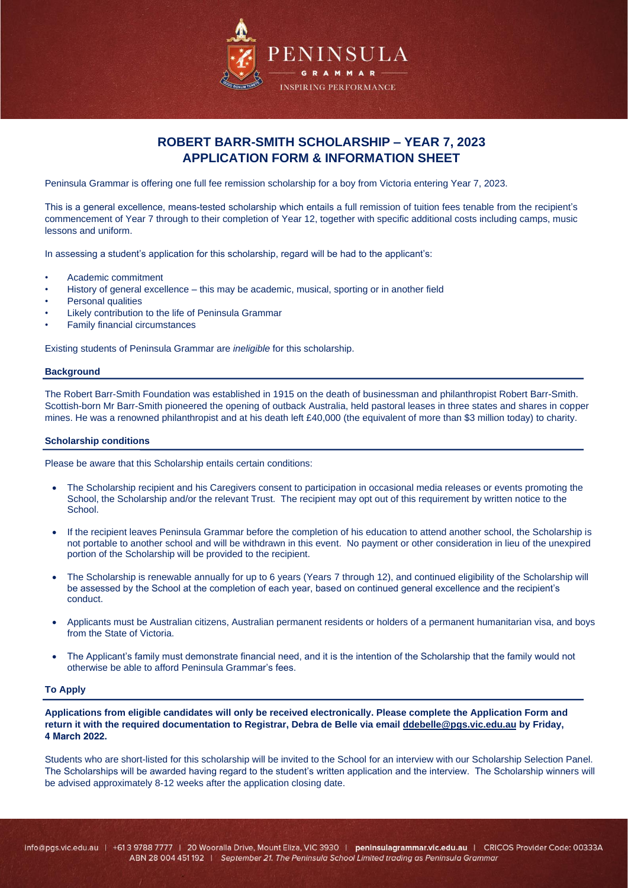

# **ROBERT BARR-SMITH SCHOLARSHIP – YEAR 7, 2023 APPLICATION FORM & INFORMATION SHEET**

Peninsula Grammar is offering one full fee remission scholarship for a boy from Victoria entering Year 7, 2023.

This is a general excellence, means-tested scholarship which entails a full remission of tuition fees tenable from the recipient's commencement of Year 7 through to their completion of Year 12, together with specific additional costs including camps, music lessons and uniform.

In assessing a student's application for this scholarship, regard will be had to the applicant's:

- Academic commitment
- History of general excellence this may be academic, musical, sporting or in another field
- Personal qualities
- Likely contribution to the life of Peninsula Grammar
- Family financial circumstances

Existing students of Peninsula Grammar are *ineligible* for this scholarship.

#### **Background**

The Robert Barr-Smith Foundation was established in 1915 on the death of businessman and philanthropist Robert Barr-Smith. Scottish-born Mr Barr-Smith pioneered the opening of outback Australia, held pastoral leases in three states and shares in copper mines. He was a renowned philanthropist and at his death left £40,000 (the equivalent of more than \$3 million today) to charity.

### **Scholarship conditions**

Please be aware that this Scholarship entails certain conditions:

- The Scholarship recipient and his Caregivers consent to participation in occasional media releases or events promoting the School, the Scholarship and/or the relevant Trust. The recipient may opt out of this requirement by written notice to the School.
- If the recipient leaves Peninsula Grammar before the completion of his education to attend another school, the Scholarship is not portable to another school and will be withdrawn in this event. No payment or other consideration in lieu of the unexpired portion of the Scholarship will be provided to the recipient.
- The Scholarship is renewable annually for up to 6 years (Years 7 through 12), and continued eligibility of the Scholarship will be assessed by the School at the completion of each year, based on continued general excellence and the recipient's conduct.
- Applicants must be Australian citizens, Australian permanent residents or holders of a permanent humanitarian visa, and boys from the State of Victoria.
- The Applicant's family must demonstrate financial need, and it is the intention of the Scholarship that the family would not otherwise be able to afford Peninsula Grammar's fees.

### **To Apply**

**Applications from eligible candidates will only be received electronically. Please complete the Application Form and return it with the required documentation to Registrar, Debra de Belle via email [ddebelle@pgs.vic.edu.au](mailto:ddebelle@pgs.vic.edu.au) by Friday, 4 March 2022.**

Students who are short-listed for this scholarship will be invited to the School for an interview with our Scholarship Selection Panel. The Scholarships will be awarded having regard to the student's written application and the interview. The Scholarship winners will be advised approximately 8-12 weeks after the application closing date.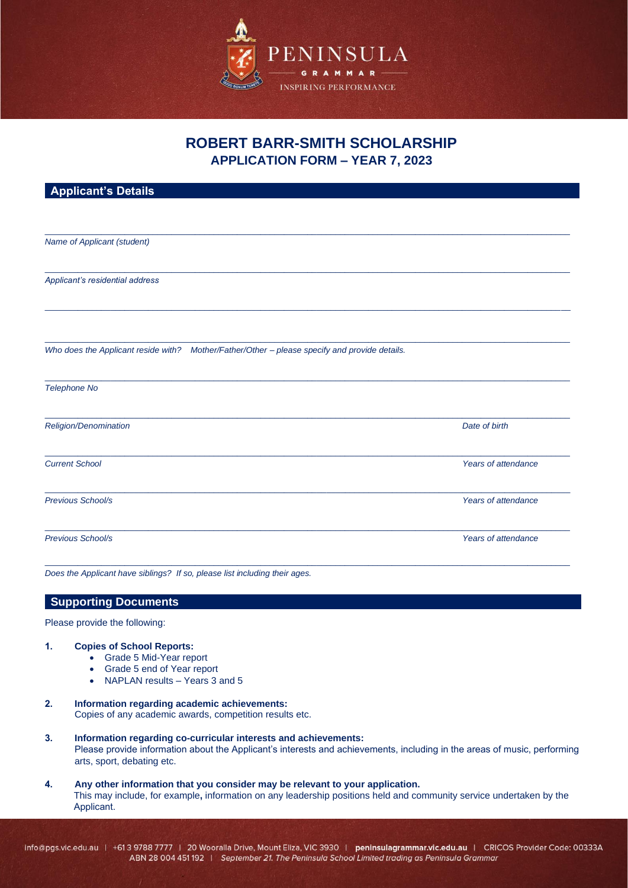

# **ROBERT BARR-SMITH SCHOLARSHIP APPLICATION FORM – YEAR 7, 2023**

| <b>Applicant's Details</b>      |                                                                                               |                     |
|---------------------------------|-----------------------------------------------------------------------------------------------|---------------------|
|                                 |                                                                                               |                     |
|                                 |                                                                                               |                     |
| Name of Applicant (student)     |                                                                                               |                     |
|                                 |                                                                                               |                     |
| Applicant's residential address |                                                                                               |                     |
|                                 |                                                                                               |                     |
|                                 |                                                                                               |                     |
|                                 |                                                                                               |                     |
|                                 | Who does the Applicant reside with? Mother/Father/Other - please specify and provide details. |                     |
|                                 |                                                                                               |                     |
| Telephone No                    |                                                                                               |                     |
|                                 |                                                                                               |                     |
| Religion/Denomination           |                                                                                               | Date of birth       |
|                                 |                                                                                               |                     |
| <b>Current School</b>           |                                                                                               | Years of attendance |
|                                 |                                                                                               |                     |
| Previous School/s               |                                                                                               | Years of attendance |
|                                 |                                                                                               |                     |
| Previous School/s               |                                                                                               | Years of attendance |
|                                 |                                                                                               |                     |

*Does the Applicant have siblings? If so, please list including their ages.*

# **Supporting Documents**

#### Please provide the following:

### **1. Copies of School Reports:**

- Grade 5 Mid-Year report
- Grade 5 end of Year report
- NAPLAN results Years 3 and 5
- **2. Information regarding academic achievements:** Copies of any academic awards, competition results etc.
- **3. Information regarding co-curricular interests and achievements:** Please provide information about the Applicant's interests and achievements, including in the areas of music, performing arts, sport, debating etc.
- **4. Any other information that you consider may be relevant to your application.** This may include, for example**,** information on any leadership positions held and community service undertaken by the Applicant.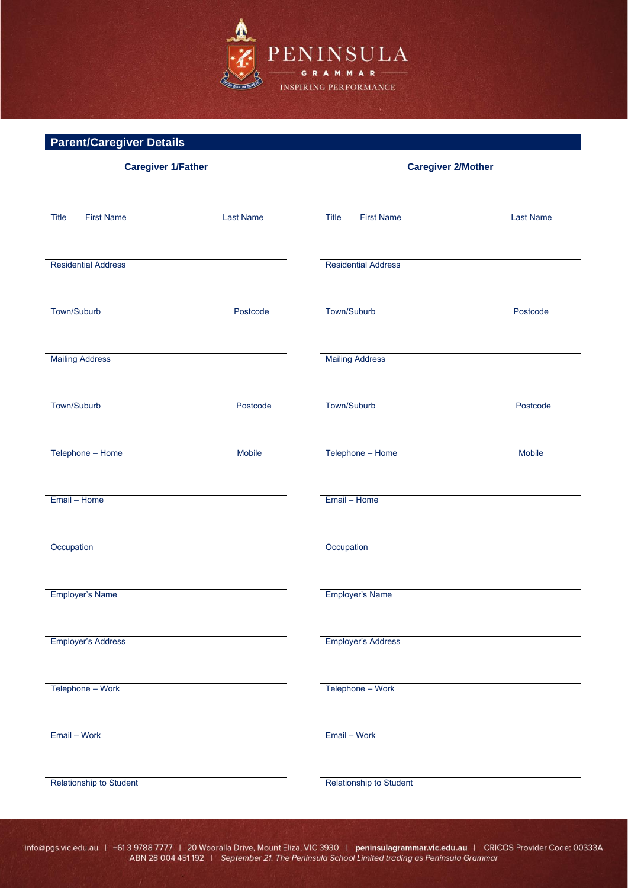

# **Parent/Caregiver Details**

| <b>Caregiver 1/Father</b>  |                  | <b>Caregiver 2/Mother</b>  |                  |
|----------------------------|------------------|----------------------------|------------------|
|                            |                  |                            |                  |
| Title<br><b>First Name</b> | <b>Last Name</b> | Title<br><b>First Name</b> | <b>Last Name</b> |
| <b>Residential Address</b> |                  | <b>Residential Address</b> |                  |
| Town/Suburb                | Postcode         | Town/Suburb                | Postcode         |
| <b>Mailing Address</b>     |                  | <b>Mailing Address</b>     |                  |
| Town/Suburb                | Postcode         | Town/Suburb                | Postcode         |
| Telephone - Home           | Mobile           | Telephone - Home           | Mobile           |
| Email - Home               |                  | Email - Home               |                  |
| Occupation                 |                  | Occupation                 |                  |
| Employer's Name            |                  | Employer's Name            |                  |
| <b>Employer's Address</b>  |                  | <b>Employer's Address</b>  |                  |
| Telephone - Work           |                  | Telephone - Work           |                  |
| Email - Work               |                  | Email - Work               |                  |
| Relationship to Student    |                  | Relationship to Student    |                  |

info@pgs.vic.edu.au | +61 3 9788 7777 | 20 Wooralla Drive, Mount Eliza, VIC 3930 | peninsulagrammar.vic.edu.au | CRICOS Provider Code: 00333A<br>ABN 28 004 451 192 | September 21. The Peninsula School Limited trading as Penin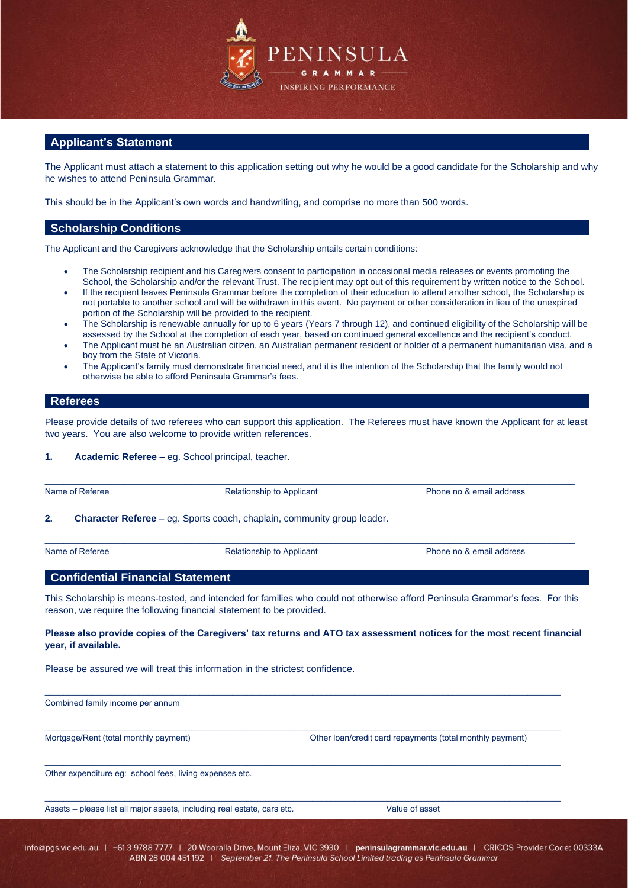

# **Applicant's Statement**

The Applicant must attach a statement to this application setting out why he would be a good candidate for the Scholarship and why he wishes to attend Peninsula Grammar.

This should be in the Applicant's own words and handwriting, and comprise no more than 500 words.

### **Scholarship Conditions**

The Applicant and the Caregivers acknowledge that the Scholarship entails certain conditions:

- The Scholarship recipient and his Caregivers consent to participation in occasional media releases or events promoting the School, the Scholarship and/or the relevant Trust. The recipient may opt out of this requirement by written notice to the School.
- If the recipient leaves Peninsula Grammar before the completion of their education to attend another school, the Scholarship is not portable to another school and will be withdrawn in this event. No payment or other consideration in lieu of the unexpired portion of the Scholarship will be provided to the recipient.
- The Scholarship is renewable annually for up to 6 years (Years 7 through 12), and continued eligibility of the Scholarship will be assessed by the School at the completion of each year, based on continued general excellence and the recipient's conduct.
- The Applicant must be an Australian citizen, an Australian permanent resident or holder of a permanent humanitarian visa, and a boy from the State of Victoria.
- The Applicant's family must demonstrate financial need, and it is the intention of the Scholarship that the family would not otherwise be able to afford Peninsula Grammar's fees.

# **Referees**

Please provide details of two referees who can support this application. The Referees must have known the Applicant for at least two years. You are also welcome to provide written references.

### **1. Academic Referee –** eg. School principal, teacher.

| Name of Referee | <b>Relationship to Applicant</b>                                               | Phone no & email address |
|-----------------|--------------------------------------------------------------------------------|--------------------------|
| 2.              | <b>Character Referee</b> – eg. Sports coach, chaplain, community group leader. |                          |
|                 |                                                                                |                          |
| Name of Referee | <b>Relationship to Applicant</b>                                               | Phone no & email address |

This Scholarship is means-tested, and intended for families who could not otherwise afford Peninsula Grammar's fees. For this reason, we require the following financial statement to be provided.

### **Please also provide copies of the Caregivers' tax returns and ATO tax assessment notices for the most recent financial year, if available.**

\_\_\_\_\_\_\_\_\_\_\_\_\_\_\_\_\_\_\_\_\_\_\_\_\_\_\_\_\_\_\_\_\_\_\_\_\_\_\_\_\_\_\_\_\_\_\_\_\_\_\_\_\_\_\_\_\_\_\_\_\_\_\_\_\_\_\_\_\_\_\_\_\_\_\_\_\_\_\_\_\_\_\_\_\_\_\_\_\_\_\_\_\_\_\_\_\_\_\_\_\_\_\_\_\_\_\_\_\_\_

\_\_\_\_\_\_\_\_\_\_\_\_\_\_\_\_\_\_\_\_\_\_\_\_\_\_\_\_\_\_\_\_\_\_\_\_\_\_\_\_\_\_\_\_\_\_\_\_\_\_\_\_\_\_\_\_\_\_\_\_\_\_\_\_\_\_\_\_\_\_\_\_\_\_\_\_\_\_\_\_\_\_\_\_\_\_\_\_\_\_\_\_\_\_\_\_\_\_\_\_\_\_\_\_\_\_\_\_\_\_

 $\_$  , and the set of the set of the set of the set of the set of the set of the set of the set of the set of the set of the set of the set of the set of the set of the set of the set of the set of the set of the set of th

Please be assured we will treat this information in the strictest confidence.

 $\_$  , and the set of the set of the set of the set of the set of the set of the set of the set of the set of the set of the set of the set of the set of the set of the set of the set of the set of the set of the set of th Combined family income per annum

Mortgage/Rent (total monthly payment) Other loan/credit card repayments (total monthly payment)

Other expenditure eg: school fees, living expenses etc.

Assets – please list all major assets, including real estate, cars etc. Value of asset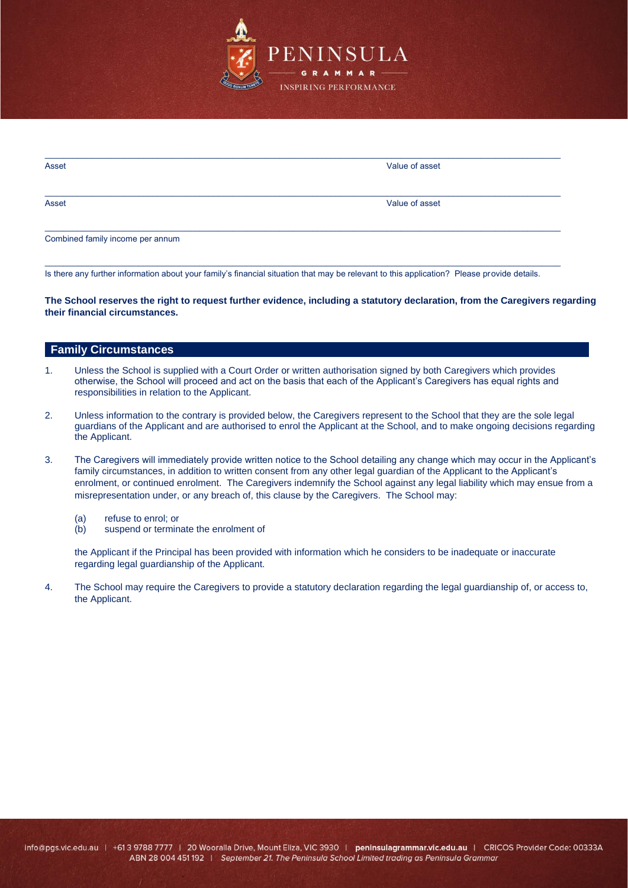

| Asset                            | Value of asset |
|----------------------------------|----------------|
| Asset                            | Value of asset |
| Combined family income per annum |                |

Is there any further information about your family's financial situation that may be relevant to this application? Please provide details.

\_\_\_\_\_\_\_\_\_\_\_\_\_\_\_\_\_\_\_\_\_\_\_\_\_\_\_\_\_\_\_\_\_\_\_\_\_\_\_\_\_\_\_\_\_\_\_\_\_\_\_\_\_\_\_\_\_\_\_\_\_\_\_\_\_\_\_\_\_\_\_\_\_\_\_\_\_\_\_\_\_\_\_\_\_\_\_\_\_\_\_\_\_\_\_\_\_\_\_\_\_\_\_\_\_\_\_\_\_\_

**The School reserves the right to request further evidence, including a statutory declaration, from the Caregivers regarding their financial circumstances.** 

# **Family Circumstances**

- 1. Unless the School is supplied with a Court Order or written authorisation signed by both Caregivers which provides otherwise, the School will proceed and act on the basis that each of the Applicant's Caregivers has equal rights and responsibilities in relation to the Applicant.
- 2. Unless information to the contrary is provided below, the Caregivers represent to the School that they are the sole legal guardians of the Applicant and are authorised to enrol the Applicant at the School, and to make ongoing decisions regarding the Applicant.
- 3. The Caregivers will immediately provide written notice to the School detailing any change which may occur in the Applicant's family circumstances, in addition to written consent from any other legal guardian of the Applicant to the Applicant's enrolment, or continued enrolment. The Caregivers indemnify the School against any legal liability which may ensue from a misrepresentation under, or any breach of, this clause by the Caregivers. The School may:
	- (a) refuse to enrol; or
	- (b) suspend or terminate the enrolment of

the Applicant if the Principal has been provided with information which he considers to be inadequate or inaccurate regarding legal guardianship of the Applicant.

4. The School may require the Caregivers to provide a statutory declaration regarding the legal guardianship of, or access to, the Applicant.